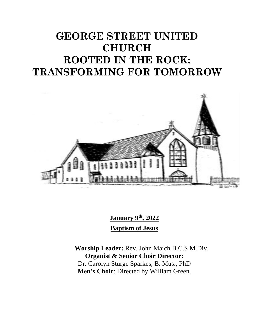# **GEORGE STREET UNITED CHURCH ROOTED IN THE ROCK: TRANSFORMING FOR TOMORROW**



**January 9 th , 2022 Baptism of Jesus**

**Worship Leader:** Rev. John Maich B.C.S M.Div. **Organist & Senior Choir Director:**  Dr. Carolyn Sturge Sparkes, B. Mus., PhD **Men's Choir**: Directed by William Green.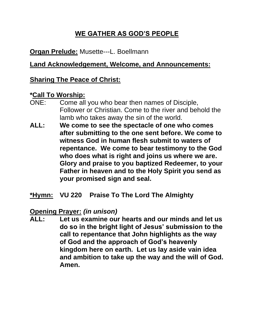# **WE GATHER AS GOD'S PEOPLE**

# **Organ Prelude:** Musette---L. Boellmann

## **Land Acknowledgement, Welcome, and Announcements:**

## **Sharing The Peace of Christ:**

#### **\*Call To Worship:**

- ONE: Come all you who bear then names of Disciple, Follower or Christian. Come to the river and behold the lamb who takes away the sin of the world.
- **ALL: We come to see the spectacle of one who comes after submitting to the one sent before. We come to witness God in human flesh submit to waters of repentance. We come to bear testimony to the God who does what is right and joins us where we are. Glory and praise to you baptized Redeemer, to your Father in heaven and to the Holy Spirit you send as your promised sign and seal.**
- **\*Hymn: VU 220 Praise To The Lord The Almighty**

## **Opening Prayer:** *(in unison)*

**ALL: Let us examine our hearts and our minds and let us do so in the bright light of Jesus' submission to the call to repentance that John highlights as the way of God and the approach of God's heavenly kingdom here on earth. Let us lay aside vain idea and ambition to take up the way and the will of God. Amen.**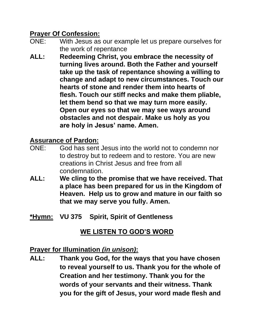# **Prayer Of Confession:**

- ONE: With Jesus as our example let us prepare ourselves for the work of repentance
- **ALL: Redeeming Christ, you embrace the necessity of turning lives around. Both the Father and yourself take up the task of repentance showing a willing to change and adapt to new circumstances. Touch our hearts of stone and render them into hearts of flesh. Touch our stiff necks and make them pliable, let them bend so that we may turn more easily. Open our eyes so that we may see ways around obstacles and not despair. Make us holy as you are holy in Jesus' name. Amen.**

# **Assurance of Pardon:**

- ONE: God has sent Jesus into the world not to condemn nor to destroy but to redeem and to restore. You are new creations in Christ Jesus and free from all condemnation.
- **ALL: We cling to the promise that we have received. That a place has been prepared for us in the Kingdom of Heaven. Help us to grow and mature in our faith so that we may serve you fully. Amen.**
- **\*Hymn: VU 375 Spirit, Spirit of Gentleness**

# **WE LISTEN TO GOD'S WORD**

## **Prayer for Illumination** *(in unison)***:**

**ALL: Thank you God, for the ways that you have chosen to reveal yourself to us. Thank you for the whole of Creation and her testimony. Thank you for the words of your servants and their witness. Thank you for the gift of Jesus, your word made flesh and**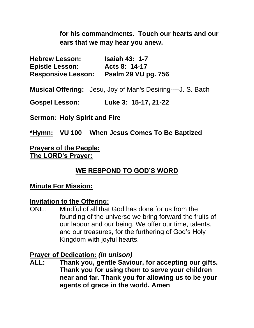**for his commandments. Touch our hearts and our ears that we may hear you anew.**

| <b>Hebrew Lesson:</b>     | <b>Isaiah 43: 1-7</b>      |
|---------------------------|----------------------------|
| <b>Epistle Lesson:</b>    | Acts 8: 14-17              |
| <b>Responsive Lesson:</b> | <b>Psalm 29 VU pg. 756</b> |

**Musical Offering:** Jesu, Joy of Man's Desiring----J. S. Bach

**Gospel Lesson: Luke 3: 15-17, 21-22**

**Sermon: Holy Spirit and Fire**

**\*Hymn: VU 100 When Jesus Comes To Be Baptized**

**Prayers of the People: The LORD's Prayer:**

## **WE RESPOND TO GOD'S WORD**

#### **Minute For Mission:**

#### **Invitation to the Offering:**

ONE: Mindful of all that God has done for us from the founding of the universe we bring forward the fruits of our labour and our being. We offer our time, talents, and our treasures, for the furthering of God's Holy Kingdom with joyful hearts.

#### **Prayer of Dedication:** *(in unison)*

**ALL: Thank you, gentle Saviour, for accepting our gifts. Thank you for using them to serve your children near and far. Thank you for allowing us to be your agents of grace in the world. Amen**